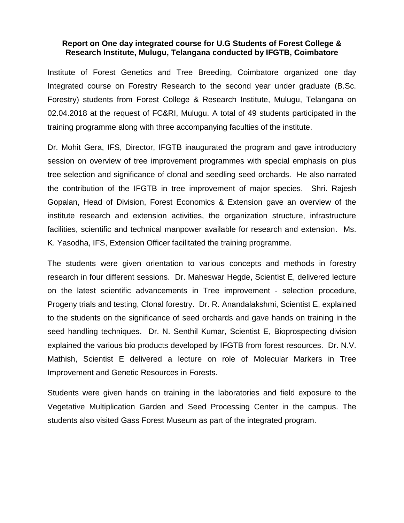## **Report on One day integrated course for U.G Students of Forest College & Research Institute, Mulugu, Telangana conducted by IFGTB, Coimbatore**

Institute of Forest Genetics and Tree Breeding, Coimbatore organized one day Integrated course on Forestry Research to the second year under graduate (B.Sc. Forestry) students from Forest College & Research Institute, Mulugu, Telangana on 02.04.2018 at the request of FC&RI, Mulugu. A total of 49 students participated in the training programme along with three accompanying faculties of the institute.

Dr. Mohit Gera, IFS, Director, IFGTB inaugurated the program and gave introductory session on overview of tree improvement programmes with special emphasis on plus tree selection and significance of clonal and seedling seed orchards. He also narrated the contribution of the IFGTB in tree improvement of major species. Shri. Rajesh Gopalan, Head of Division, Forest Economics & Extension gave an overview of the institute research and extension activities, the organization structure, infrastructure facilities, scientific and technical manpower available for research and extension. Ms. K. Yasodha, IFS, Extension Officer facilitated the training programme.

The students were given orientation to various concepts and methods in forestry research in four different sessions. Dr. Maheswar Hegde, Scientist E, delivered lecture on the latest scientific advancements in Tree improvement - selection procedure, Progeny trials and testing, Clonal forestry. Dr. R. Anandalakshmi, Scientist E, explained to the students on the significance of seed orchards and gave hands on training in the seed handling techniques. Dr. N. Senthil Kumar, Scientist E, Bioprospecting division explained the various bio products developed by IFGTB from forest resources. Dr. N.V. Mathish, Scientist E delivered a lecture on role of Molecular Markers in Tree Improvement and Genetic Resources in Forests.

Students were given hands on training in the laboratories and field exposure to the Vegetative Multiplication Garden and Seed Processing Center in the campus. The students also visited Gass Forest Museum as part of the integrated program.